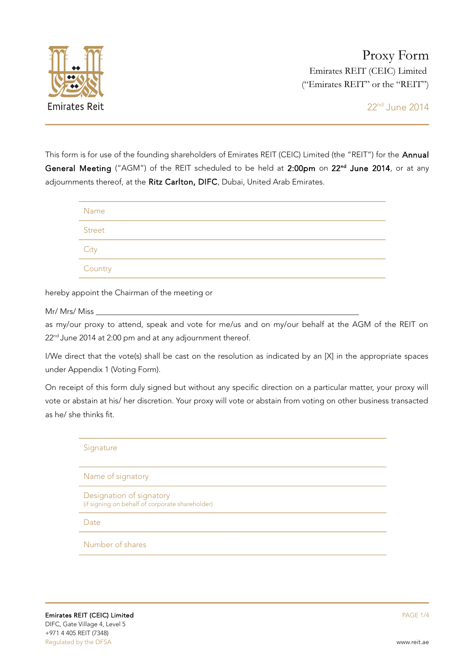

This form is for use of the founding shareholders of Emirates REIT (CEIC) Limited (the "REIT") for the Annual General Meeting ("AGM") of the REIT scheduled to be held at 2:00pm on 22<sup>nd</sup> June 2014, or at any adjournments thereof, at the Ritz Carlton, DIFC, Dubai, United Arab Emirates.

| Name    |  |
|---------|--|
| Street  |  |
| City    |  |
| Country |  |

hereby appoint the Chairman of the meeting or

Mr/ Mrs/ Miss

as my/our proxy to attend, speak and vote for me/us and on my/our behalf at the AGM of the REIT on 22<sup>nd</sup> June 2014 at 2:00 pm and at any adjournment thereof.

I/We direct that the vote(s) shall be cast on the resolution as indicated by an [X] in the appropriate spaces under Appendix 1 (Voting Form).

On receipt of this form duly signed but without any specific direction on a particular matter, your proxy will vote or abstain at his/ her discretion. Your proxy will vote or abstain from voting on other business transacted as he/ she thinks fit.

| Signature                                                                   |
|-----------------------------------------------------------------------------|
| Name of signatory                                                           |
| Designation of signatory<br>(if signing on behalf of corporate shareholder) |
| Date                                                                        |
| Number of shares                                                            |
|                                                                             |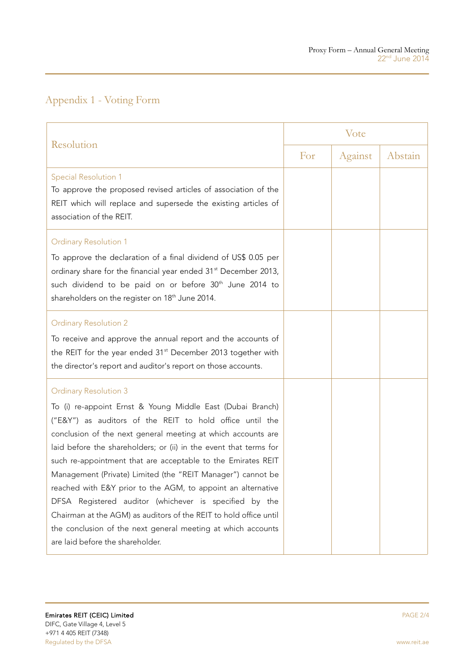## Appendix 1 - Voting Form

| Resolution                                                                                                                                                                                                                                                                                                                                                                                                                                                                                                                                                                                                                                                                                                                    | Vote |         |         |
|-------------------------------------------------------------------------------------------------------------------------------------------------------------------------------------------------------------------------------------------------------------------------------------------------------------------------------------------------------------------------------------------------------------------------------------------------------------------------------------------------------------------------------------------------------------------------------------------------------------------------------------------------------------------------------------------------------------------------------|------|---------|---------|
|                                                                                                                                                                                                                                                                                                                                                                                                                                                                                                                                                                                                                                                                                                                               | For  | Against | Abstain |
| <b>Special Resolution 1</b><br>To approve the proposed revised articles of association of the<br>REIT which will replace and supersede the existing articles of<br>association of the REIT.                                                                                                                                                                                                                                                                                                                                                                                                                                                                                                                                   |      |         |         |
| <b>Ordinary Resolution 1</b><br>To approve the declaration of a final dividend of US\$ 0.05 per<br>ordinary share for the financial year ended 31 <sup>st</sup> December 2013,<br>such dividend to be paid on or before 30 <sup>th</sup> June 2014 to<br>shareholders on the register on 18 <sup>th</sup> June 2014.                                                                                                                                                                                                                                                                                                                                                                                                          |      |         |         |
| <b>Ordinary Resolution 2</b><br>To receive and approve the annual report and the accounts of<br>the REIT for the year ended 31 <sup>st</sup> December 2013 together with<br>the director's report and auditor's report on those accounts.                                                                                                                                                                                                                                                                                                                                                                                                                                                                                     |      |         |         |
| <b>Ordinary Resolution 3</b><br>To (i) re-appoint Ernst & Young Middle East (Dubai Branch)<br>("E&Y") as auditors of the REIT to hold office until the<br>conclusion of the next general meeting at which accounts are<br>laid before the shareholders; or (ii) in the event that terms for<br>such re-appointment that are acceptable to the Emirates REIT<br>Management (Private) Limited (the "REIT Manager") cannot be<br>reached with E&Y prior to the AGM, to appoint an alternative<br>DFSA Registered auditor (whichever is specified by the<br>Chairman at the AGM) as auditors of the REIT to hold office until<br>the conclusion of the next general meeting at which accounts<br>are laid before the shareholder. |      |         |         |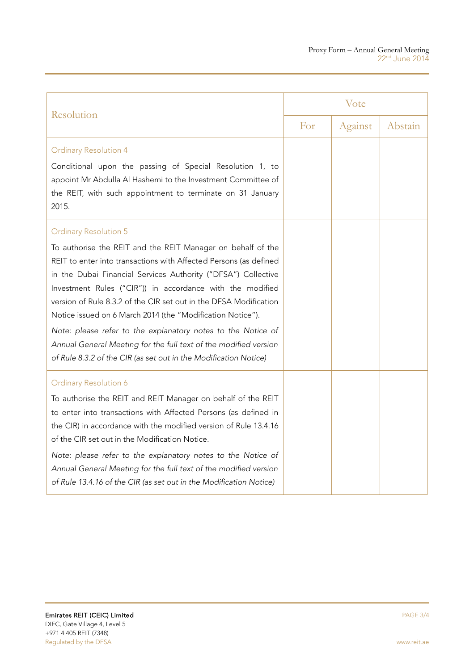| Resolution                                                                                                                                                                                                                                                                                                                                                                                                                                                                                                                                                                                                                                | Vote |         |         |
|-------------------------------------------------------------------------------------------------------------------------------------------------------------------------------------------------------------------------------------------------------------------------------------------------------------------------------------------------------------------------------------------------------------------------------------------------------------------------------------------------------------------------------------------------------------------------------------------------------------------------------------------|------|---------|---------|
|                                                                                                                                                                                                                                                                                                                                                                                                                                                                                                                                                                                                                                           | For  | Against | Abstain |
| <b>Ordinary Resolution 4</b><br>Conditional upon the passing of Special Resolution 1, to<br>appoint Mr Abdulla Al Hashemi to the Investment Committee of<br>the REIT, with such appointment to terminate on 31 January                                                                                                                                                                                                                                                                                                                                                                                                                    |      |         |         |
| 2015.                                                                                                                                                                                                                                                                                                                                                                                                                                                                                                                                                                                                                                     |      |         |         |
| <b>Ordinary Resolution 5</b><br>To authorise the REIT and the REIT Manager on behalf of the<br>REIT to enter into transactions with Affected Persons (as defined<br>in the Dubai Financial Services Authority ("DFSA") Collective<br>Investment Rules ("CIR")) in accordance with the modified<br>version of Rule 8.3.2 of the CIR set out in the DFSA Modification<br>Notice issued on 6 March 2014 (the "Modification Notice").<br>Note: please refer to the explanatory notes to the Notice of<br>Annual General Meeting for the full text of the modified version<br>of Rule 8.3.2 of the CIR (as set out in the Modification Notice) |      |         |         |
| Ordinary Resolution 6<br>To authorise the REIT and REIT Manager on behalf of the REIT<br>to enter into transactions with Affected Persons (as defined in<br>the CIR) in accordance with the modified version of Rule 13.4.16<br>of the CIR set out in the Modification Notice.<br>Note: please refer to the explanatory notes to the Notice of<br>Annual General Meeting for the full text of the modified version<br>of Rule 13.4.16 of the CIR (as set out in the Modification Notice)                                                                                                                                                  |      |         |         |